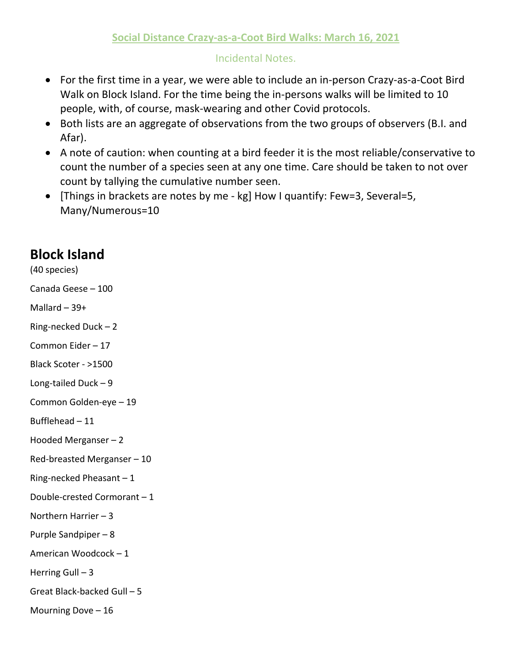## Incidental Notes.

- For the first time in a year, we were able to include an in-person Crazy-as-a-Coot Bird Walk on Block Island. For the time being the in-persons walks will be limited to 10 people, with, of course, mask-wearing and other Covid protocols.
- Both lists are an aggregate of observations from the two groups of observers (B.I. and Afar).
- A note of caution: when counting at a bird feeder it is the most reliable/conservative to count the number of a species seen at any one time. Care should be taken to not over count by tallying the cumulative number seen.
- [Things in brackets are notes by me kg] How I quantify: Few=3, Several=5, Many/Numerous=10

## **Block Island**

(40 species)

Canada Geese – 100

Mallard – 39+

Ring-necked Duck – 2

Common Eider – 17

Black Scoter - >1500

Long-tailed Duck – 9

Common Golden-eye – 19

Bufflehead – 11

Hooded Merganser – 2

Red-breasted Merganser – 10

Ring-necked Pheasant – 1

Double-crested Cormorant – 1

Northern Harrier – 3

Purple Sandpiper – 8

American Woodcock – 1

Herring Gull  $-3$ 

Great Black-backed Gull – 5

Mourning Dove  $-16$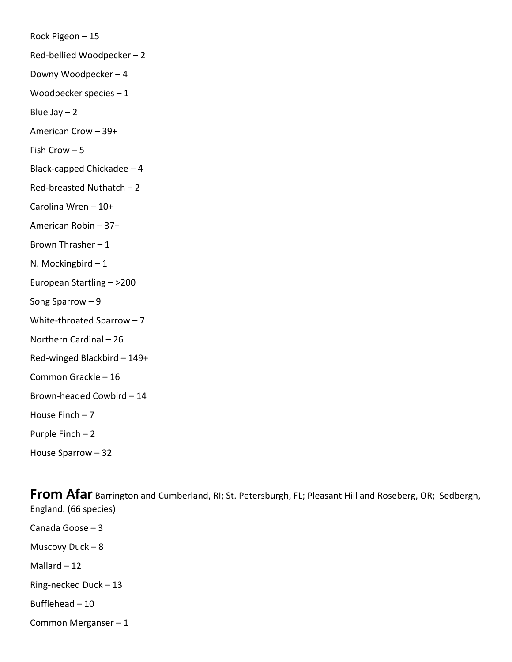Rock Pigeon – 15 Red-bellied Woodpecker – 2 Downy Woodpecker – 4 Woodpecker species – 1 Blue Jay  $-2$ American Crow – 39+ Fish Crow – 5 Black-capped Chickadee – 4 Red-breasted Nuthatch – 2 Carolina Wren – 10+ American Robin – 37+ Brown Thrasher – 1 N. Mockingbird – 1 European Startling – >200 Song Sparrow – 9 White-throated Sparrow – 7 Northern Cardinal – 26 Red-winged Blackbird – 149+ Common Grackle – 16 Brown-headed Cowbird – 14 House Finch  $-7$ Purple Finch – 2 House Sparrow – 32

**From Afar** Barrington and Cumberland, RI; St. Petersburgh, FL; Pleasant Hill and Roseberg, OR; Sedbergh, England. (66 species) Canada Goose – 3 Muscovy Duck – 8 Mallard  $-12$ Ring-necked Duck – 13 Bufflehead – 10 Common Merganser – 1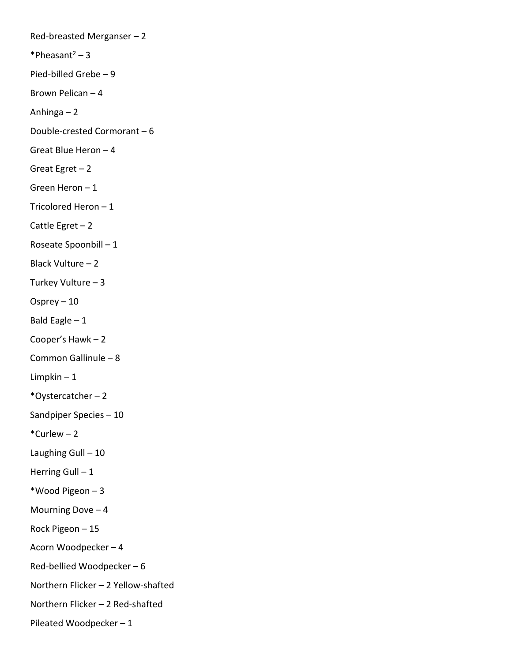Red-breasted Merganser – 2 \*Pheasant $2 - 3$ Pied-billed Grebe – 9 Brown Pelican – 4 Anhinga – 2 Double-crested Cormorant – 6 Great Blue Heron – 4 Great Egret – 2 Green Heron – 1 Tricolored Heron – 1 Cattle Egret  $-2$ Roseate Spoonbill – 1 Black Vulture – 2 Turkey Vulture – 3 Osprey – 10 Bald Eagle  $-1$ Cooper's Hawk – 2 Common Gallinule – 8 Limpkin  $-1$ \*Oystercatcher – 2 Sandpiper Species – 10  $*$ Curlew – 2 Laughing Gull – 10 Herring Gull - 1 \*Wood Pigeon – 3 Mourning Dove  $-4$ Rock Pigeon – 15 Acorn Woodpecker – 4 Red-bellied Woodpecker – 6 Northern Flicker – 2 Yellow-shafted Northern Flicker – 2 Red-shafted Pileated Woodpecker – 1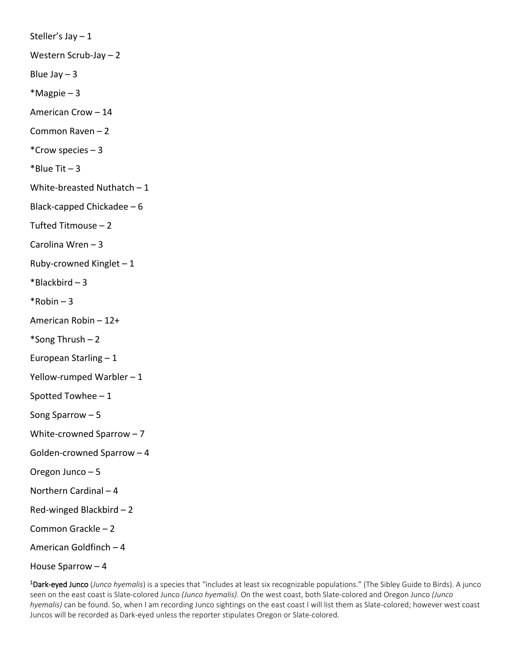Steller's Jay – 1 Western Scrub-Jay – 2 Blue Jay  $-3$  $*$ Magpie – 3 American Crow – 14 Common Raven – 2 \*Crow species – 3  $*$ Blue Tit  $-3$ White-breasted Nuthatch – 1 Black-capped Chickadee – 6 Tufted Titmouse – 2 Carolina Wren – 3 Ruby-crowned Kinglet  $-1$  $*Blackbird - 3$  $*$ Robin – 3 American Robin – 12+ \*Song Thrush – 2 European Starling – 1 Yellow-rumped Warbler – 1 Spotted Towhee – 1 Song Sparrow – 5 White-crowned Sparrow – 7 Golden-crowned Sparrow – 4 Oregon Junco – 5 Northern Cardinal – 4 Red-winged Blackbird – 2 Common Grackle – 2 American Goldfinch – 4 House Sparrow – 4

1 Dark-eyed Junco (*Junco hyemalis*) is a species that "includes at least six recognizable populations." (The Sibley Guide to Birds). A junco seen on the east coast is Slate-colored Junco *(Junco hyemalis)*. On the west coast, both Slate-colored and Oregon Junco *(Junco hyemalis)* can be found. So, when I am recording Junco sightings on the east coast I will list them as Slate-colored; however west coast Juncos will be recorded as Dark-eyed unless the reporter stipulates Oregon or Slate-colored.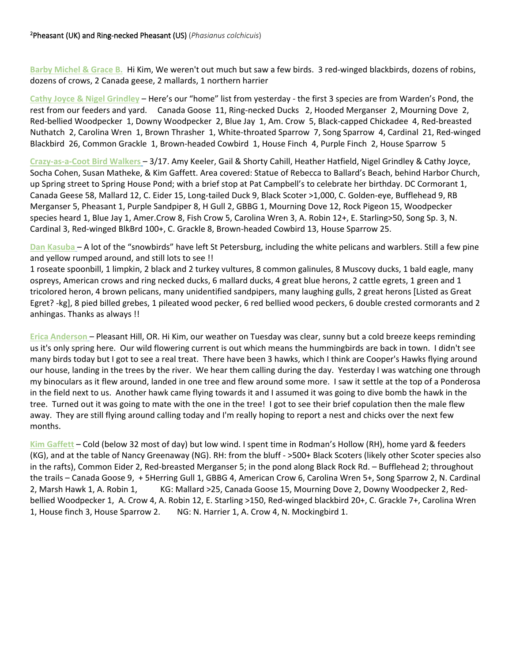**Barby Michel & Grace B.** Hi Kim, We weren't out much but saw a few birds. 3 red-winged blackbirds, dozens of robins, dozens of crows, 2 Canada geese, 2 mallards, 1 northern harrier

**Cathy Joyce & Nigel Grindley** – Here's our "home" list from yesterday - the first 3 species are from Warden's Pond, the rest from our feeders and yard. Canada Goose 11, Ring-necked Ducks 2, Hooded Merganser 2, Mourning Dove 2, Red-bellied Woodpecker 1, Downy Woodpecker 2, Blue Jay 1, Am. Crow 5, Black-capped Chickadee 4, Red-breasted Nuthatch 2, Carolina Wren 1, Brown Thrasher 1, White-throated Sparrow 7, Song Sparrow 4, Cardinal 21, Red-winged Blackbird 26, Common Grackle 1, Brown-headed Cowbird 1, House Finch 4, Purple Finch 2, House Sparrow 5

**Crazy-as-a-Coot Bird Walkers** – 3/17. Amy Keeler, Gail & Shorty Cahill, Heather Hatfield, Nigel Grindley & Cathy Joyce, Socha Cohen, Susan Matheke, & Kim Gaffett. Area covered: Statue of Rebecca to Ballard's Beach, behind Harbor Church, up Spring street to Spring House Pond; with a brief stop at Pat Campbell's to celebrate her birthday. DC Cormorant 1, Canada Geese 58, Mallard 12, C. Eider 15, Long-tailed Duck 9, Black Scoter >1,000, C. Golden-eye, Bufflehead 9, RB Merganser 5, Pheasant 1, Purple Sandpiper 8, H Gull 2, GBBG 1, Mourning Dove 12, Rock Pigeon 15, Woodpecker species heard 1, Blue Jay 1, Amer.Crow 8, Fish Crow 5, Carolina Wren 3, A. Robin 12+, E. Starling>50, Song Sp. 3, N. Cardinal 3, Red-winged BlkBrd 100+, C. Grackle 8, Brown-headed Cowbird 13, House Sparrow 25.

**Dan Kasuba** – A lot of the "snowbirds" have left St Petersburg, including the white pelicans and warblers. Still a few pine and yellow rumped around, and still lots to see !!

1 roseate spoonbill, 1 limpkin, 2 black and 2 turkey vultures, 8 common galinules, 8 Muscovy ducks, 1 bald eagle, many ospreys, American crows and ring necked ducks, 6 mallard ducks, 4 great blue herons, 2 cattle egrets, 1 green and 1 tricolored heron, 4 brown pelicans, many unidentified sandpipers, many laughing gulls, 2 great herons [Listed as Great Egret? -kg], 8 pied billed grebes, 1 pileated wood pecker, 6 red bellied wood peckers, 6 double crested cormorants and 2 anhingas. Thanks as always !!

**Erica Anderson** – Pleasant Hill, OR. Hi Kim, our weather on Tuesday was clear, sunny but a cold breeze keeps reminding us it's only spring here. Our wild flowering current is out which means the hummingbirds are back in town. I didn't see many birds today but I got to see a real treat. There have been 3 hawks, which I think are Cooper's Hawks flying around our house, landing in the trees by the river. We hear them calling during the day. Yesterday I was watching one through my binoculars as it flew around, landed in one tree and flew around some more. I saw it settle at the top of a Ponderosa in the field next to us. Another hawk came flying towards it and I assumed it was going to dive bomb the hawk in the tree. Turned out it was going to mate with the one in the tree! I got to see their brief copulation then the male flew away. They are still flying around calling today and I'm really hoping to report a nest and chicks over the next few months.

**Kim Gaffett** – Cold (below 32 most of day) but low wind. I spent time in Rodman's Hollow (RH), home yard & feeders (KG), and at the table of Nancy Greenaway (NG). RH: from the bluff - >500+ Black Scoters (likely other Scoter species also in the rafts), Common Eider 2, Red-breasted Merganser 5; in the pond along Black Rock Rd. – Bufflehead 2; throughout the trails – Canada Goose 9, + 5Herring Gull 1, GBBG 4, American Crow 6, Carolina Wren 5+, Song Sparrow 2, N. Cardinal 2, Marsh Hawk 1, A. Robin 1, KG: Mallard >25, Canada Goose 15, Mourning Dove 2, Downy Woodpecker 2, Redbellied Woodpecker 1, A. Crow 4, A. Robin 12, E. Starling >150, Red-winged blackbird 20+, C. Grackle 7+, Carolina Wren 1, House finch 3, House Sparrow 2. NG: N. Harrier 1, A. Crow 4, N. Mockingbird 1.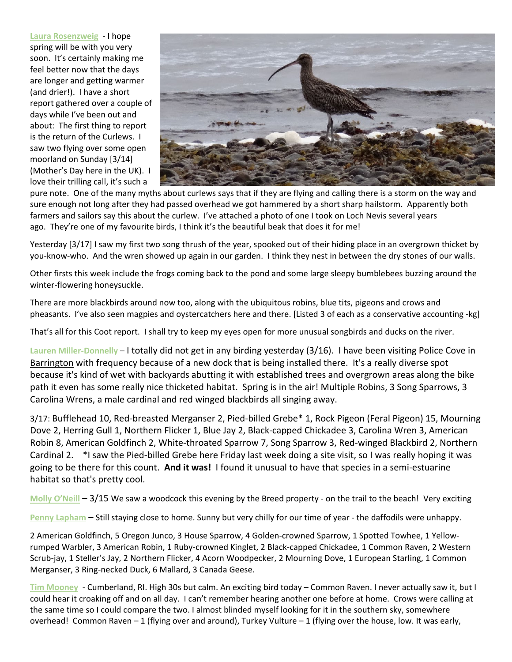**Laura Rosenzweig** - I hope spring will be with you very soon. It's certainly making me feel better now that the days are longer and getting warmer (and drier!). I have a short report gathered over a couple of days while I've been out and about: The first thing to report is the return of the Curlews. I saw two flying over some open moorland on Sunday [3/14] (Mother's Day here in the UK). I love their trilling call, it's such a



pure note. One of the many myths about curlews says that if they are flying and calling there is a storm on the way and sure enough not long after they had passed overhead we got hammered by a short sharp hailstorm. Apparently both farmers and sailors say this about the curlew. I've attached a photo of one I took on Loch Nevis several years ago. They're one of my favourite birds, I think it's the beautiful beak that does it for me!

Yesterday [3/17] I saw my first two song thrush of the year, spooked out of their hiding place in an overgrown thicket by you-know-who. And the wren showed up again in our garden. I think they nest in between the dry stones of our walls.

Other firsts this week include the frogs coming back to the pond and some large sleepy bumblebees buzzing around the winter-flowering honeysuckle.

There are more blackbirds around now too, along with the ubiquitous robins, blue tits, pigeons and crows and pheasants. I've also seen magpies and oystercatchers here and there. [Listed 3 of each as a conservative accounting -kg]

That's all for this Coot report. I shall try to keep my eyes open for more unusual songbirds and ducks on the river.

**Lauren Miller-Donnelly** – I totally did not get in any birding yesterday (3/16). I have been visiting Police Cove in Barrington with frequency because of a new dock that is being installed there. It's a really diverse spot because it's kind of wet with backyards abutting it with established trees and overgrown areas along the bike path it even has some really nice thicketed habitat. Spring is in the air! Multiple Robins, 3 Song Sparrows, 3 Carolina Wrens, a male cardinal and red winged blackbirds all singing away.

3/17: Bufflehead 10, Red-breasted Merganser 2, Pied-billed Grebe\* 1, Rock Pigeon (Feral Pigeon) 15, Mourning Dove 2, Herring Gull 1, Northern Flicker 1, Blue Jay 2, Black-capped Chickadee 3, Carolina Wren 3, American Robin 8, American Goldfinch 2, White-throated Sparrow 7, Song Sparrow 3, Red-winged Blackbird 2, Northern Cardinal 2. \*I saw the Pied-billed Grebe here Friday last week doing a site visit, so I was really hoping it was going to be there for this count. **And it was!** I found it unusual to have that species in a semi-estuarine habitat so that's pretty cool.

**Molly O'Neill** – 3/15 We saw a woodcock this evening by the Breed property - on the trail to the beach! Very exciting

**Penny Lapham** – Still staying close to home. Sunny but very chilly for our time of year - the daffodils were unhappy.

2 American Goldfinch, 5 Oregon Junco, 3 House Sparrow, 4 Golden-crowned Sparrow, 1 Spotted Towhee, 1 Yellowrumped Warbler, 3 American Robin, 1 Ruby-crowned Kinglet, 2 Black-capped Chickadee, 1 Common Raven, 2 Western Scrub-jay, 1 Steller's Jay, 2 Northern Flicker, 4 Acorn Woodpecker, 2 Mourning Dove, 1 European Starling, 1 Common Merganser, 3 Ring-necked Duck, 6 Mallard, 3 Canada Geese.

**Tim Mooney** - Cumberland, RI. High 30s but calm. An exciting bird today – Common Raven. I never actually saw it, but I could hear it croaking off and on all day. I can't remember hearing another one before at home. Crows were calling at the same time so I could compare the two. I almost blinded myself looking for it in the southern sky, somewhere overhead! Common Raven – 1 (flying over and around), Turkey Vulture – 1 (flying over the house, low. It was early,